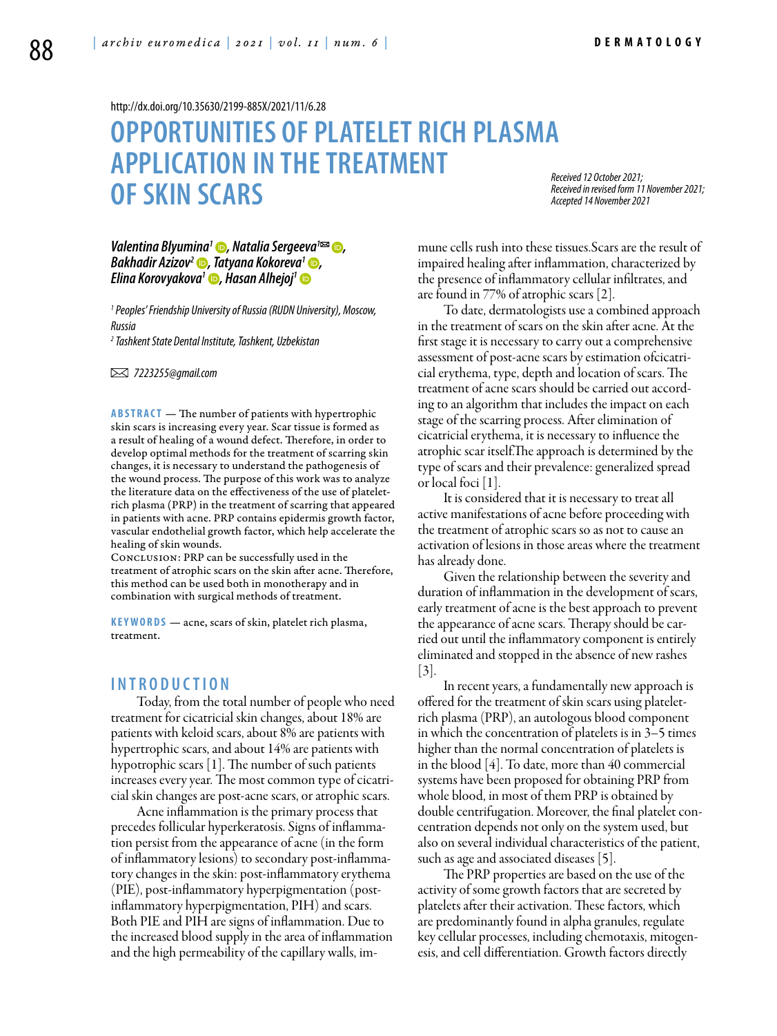<http://dx.doi.org/10.35630/2199-885X/2021/11/6.28>

## **OPPORTUNITIES OF PLATELET RICH PLASMA APPLICATION IN THE TREATMENT OF SKIN SCARS**

*Received 12 October 2021; Received in revised form 11 November 2021; Accepted 14 November 2021*

*[Valentina Blyumina](https://orcid.org/0000-0001-8564-4865)<sup>1</sup> ●, Natalia Sergeeva<sup>1∞</sup> ●, [Bakhadir Azizov2](https://orcid.org/0000-0003-3320-7406) , [Tatyana Kokoreva](https://orcid.org/0000-0002-3255-9138)1 , [Elina Korovyakova1](https://orcid.org/0000-0002-3149-808) , [Hasan Alhejoj](https://orcid.org/0000-0001-6924-1679)1*

*1 Peoples' Friendship University of Russia (RUDN University), Moscow, Russia* 

*2 Tashkent State Dental Institute, Tashkent, Uzbekistan*

 *7223255@gmail.com*

**ABSTRACT** — The number of patients with hypertrophic skin scars is increasing every year. Scar tissue is formed as a result of healing of a wound defect. Therefore, in order to develop optimal methods for the treatment of scarring skin changes, it is necessary to understand the pathogenesis of the wound process. The purpose of this work was to analyze the literature data on the effectiveness of the use of plateletrich plasma (PRP) in the treatment of scarring that appeared in patients with acne. PRP contains epidermis growth factor, vascular endothelial growth factor, which help accelerate the healing of skin wounds.

Conclusion: PRP can be successfully used in the treatment of atrophic scars on the skin after acne. Therefore, this method can be used both in monotherapy and in combination with surgical methods of treatment.

KEYWORDS — acne, scars of skin, platelet rich plasma, treatment.

## **I ntro d uction**

Today, from the total number of people who need treatment for cicatricial skin changes, about 18% are patients with keloid scars, about 8% are patients with hypertrophic scars, and about 14% are patients with hypotrophic scars [1]. The number of such patients increases every year. The most common type of cicatricial skin changes are post-acne scars, or atrophic scars.

Acne inflammation is the primary process that precedes follicular hyperkeratosis. Signs of inflammation persist from the appearance of acne (in the form of inflammatory lesions) to secondary post-inflammatory changes in the skin: post-inflammatory erythema (PIE), post-inflammatory hyperpigmentation (postinflammatory hyperpigmentation, PIH) and scars. Both PIE and PIH are signs of inflammation. Due to the increased blood supply in the area of inflammation and the high permeability of the capillary walls, immune cells rush into these tissues.Scars are the result of impaired healing after inflammation, characterized by the presence of inflammatory cellular infiltrates, and are found in 77% of atrophic scars [2].

To date, dermatologists use a combined approach in the treatment of scars on the skin after acne. At the first stage it is necessary to carry out a comprehensive assessment of post-acne scars by estimation ofcicatricial erythema, type, depth and location of scars. The treatment of acne scars should be carried out according to an algorithm that includes the impact on each stage of the scarring process. After elimination of cicatricial erythema, it is necessary to influence the atrophic scar itself.The approach is determined by the type of scars and their prevalence: generalized spread or local foci [1].

It is considered that it is necessary to treat all active manifestations of acne before proceeding with the treatment of atrophic scars so as not to cause an activation of lesions in those areas where the treatment has already done.

Given the relationship between the severity and duration of inflammation in the development of scars, early treatment of acne is the best approach to prevent the appearance of acne scars. Therapy should be carried out until the inflammatory component is entirely eliminated and stopped in the absence of new rashes [3].

In recent years, a fundamentally new approach is offered for the treatment of skin scars using plateletrich plasma (PRP), an autologous blood component in which the concentration of platelets is in 3–5 times higher than the normal concentration of platelets is in the blood [4]. To date, more than 40 commercial systems have been proposed for obtaining PRP from whole blood, in most of them PRP is obtained by double centrifugation. Moreover, the final platelet concentration depends not only on the system used, but also on several individual characteristics of the patient, such as age and associated diseases [5].

The PRP properties are based on the use of the activity of some growth factors that are secreted by platelets after their activation. These factors, which are predominantly found in alpha granules, regulate key cellular processes, including chemotaxis, mitogenesis, and cell differentiation. Growth factors directly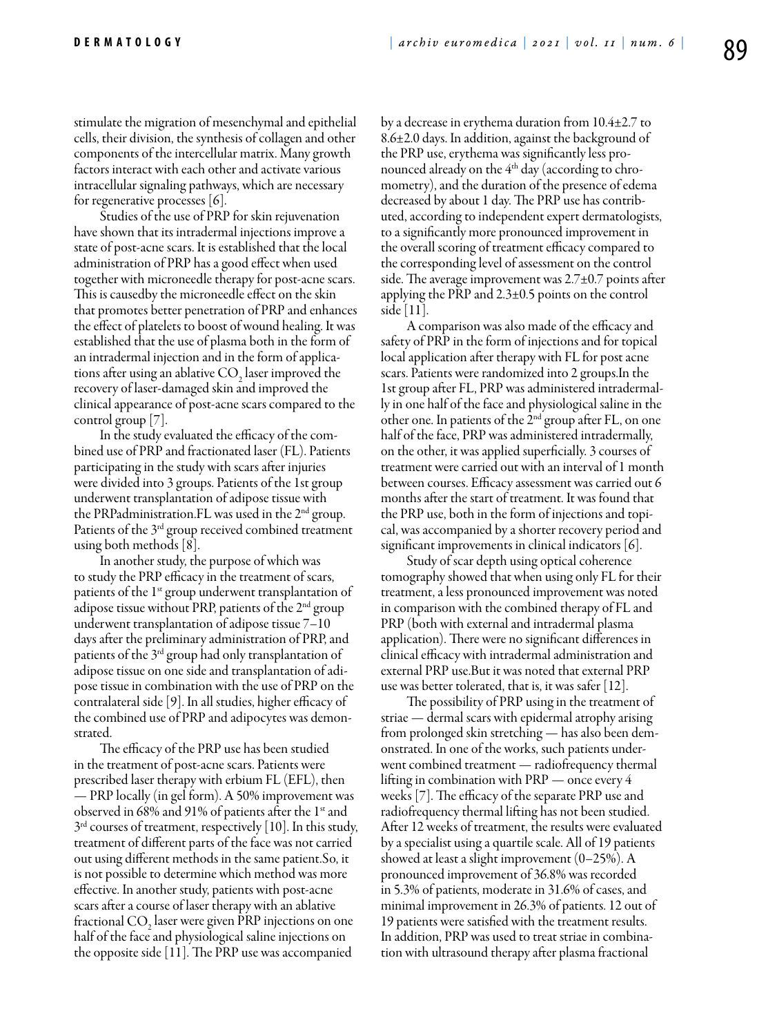stimulate the migration of mesenchymal and epithelial cells, their division, the synthesis of collagen and other components of the intercellular matrix. Many growth factors interact with each other and activate various intracellular signaling pathways, which are necessary for regenerative processes [6].

Studies of the use of PRP for skin rejuvenation have shown that its intradermal injections improve a state of post-acne scars. It is established that the local administration of PRP has a good effect when used together with microneedle therapy for post-acne scars. This is causedby the microneedle effect on the skin that promotes better penetration of PRP and enhances the effect of platelets to boost of wound healing. It was established that the use of plasma both in the form of an intradermal injection and in the form of applications after using an ablative  $CO<sub>2</sub>$  laser improved the recovery of laser-damaged skin and improved the clinical appearance of post-acne scars compared to the control group [7].

In the study evaluated the efficacy of the combined use of PRP and fractionated laser (FL). Patients participating in the study with scars after injuries were divided into 3 groups. Patients of the 1st group underwent transplantation of adipose tissue with the PRPadministration.FL was used in the 2nd group. Patients of the 3rd group received combined treatment using both methods [8].

In another study, the purpose of which was to study the PRP efficacy in the treatment of scars, patients of the  $1<sup>st</sup>$  group underwent transplantation of adipose tissue without PRP, patients of the  $2<sup>nd</sup>$  group underwent transplantation of adipose tissue 7–10 days after the preliminary administration of PRP, and patients of the 3rd group had only transplantation of adipose tissue on one side and transplantation of adipose tissue in combination with the use of PRP on the contralateral side [9]. In all studies, higher efficacy of the combined use of PRP and adipocytes was demonstrated.

The efficacy of the PRP use has been studied in the treatment of post-acne scars. Patients were prescribed laser therapy with erbium FL (EFL), then — PRP locally (in gel form). A 50% improvement was observed in 68% and 91% of patients after the  $1^{\text{st}}$  and  $3<sup>rd</sup>$  courses of treatment, respectively [10]. In this study, treatment of different parts of the face was not carried out using different methods in the same patient.So, it is not possible to determine which method was more effective. In another study, patients with post-acne scars after a course of laser therapy with an ablative fractional  $CO<sub>2</sub>$  laser were given PRP injections on one half of the face and physiological saline injections on the opposite side [11]. The PRP use was accompanied

by a decrease in erythema duration from 10.4±2.7 to 8.6±2.0 days. In addition, against the background of the PRP use, erythema was significantly less pronounced already on the 4<sup>th</sup> day (according to chromometry), and the duration of the presence of edema decreased by about 1 day. The PRP use has contributed, according to independent expert dermatologists, to a significantly more pronounced improvement in the overall scoring of treatment efficacy compared to the corresponding level of assessment on the control side. The average improvement was  $2.7\pm0.7$  points after applying the PRP and 2.3±0.5 points on the control side [11].

A comparison was also made of the efficacy and safety of PRP in the form of injections and for topical local application after therapy with FL for post acne scars. Patients were randomized into 2 groups.In the 1st group after FL, PRP was administered intradermally in one half of the face and physiological saline in the other one. In patients of the 2nd group after FL, on one half of the face, PRP was administered intradermally, on the other, it was applied superficially. 3 courses of treatment were carried out with an interval of 1 month between courses. Efficacy assessment was carried out 6 months after the start of treatment. It was found that the PRP use, both in the form of injections and topical, was accompanied by a shorter recovery period and significant improvements in clinical indicators [6].

Study of scar depth using optical coherence tomography showed that when using only FL for their treatment, a less pronounced improvement was noted in comparison with the combined therapy of FL and PRP (both with external and intradermal plasma application). There were no significant differences in clinical efficacy with intradermal administration and external PRP use.But it was noted that external PRP use was better tolerated, that is, it was safer  $|12|$ .

The possibility of PRP using in the treatment of striae — dermal scars with epidermal atrophy arising from prolonged skin stretching — has also been demonstrated. In one of the works, such patients underwent combined treatment — radiofrequency thermal lifting in combination with PRP — once every 4 weeks [7]. The efficacy of the separate PRP use and radiofrequency thermal lifting has not been studied. After 12 weeks of treatment, the results were evaluated by a specialist using a quartile scale. All of 19 patients showed at least a slight improvement (0–25%). A pronounced improvement of 36.8% was recorded in 5.3% of patients, moderate in 31.6% of cases, and minimal improvement in 26.3% of patients. 12 out of 19 patients were satisfied with the treatment results. In addition, PRP was used to treat striae in combination with ultrasound therapy after plasma fractional